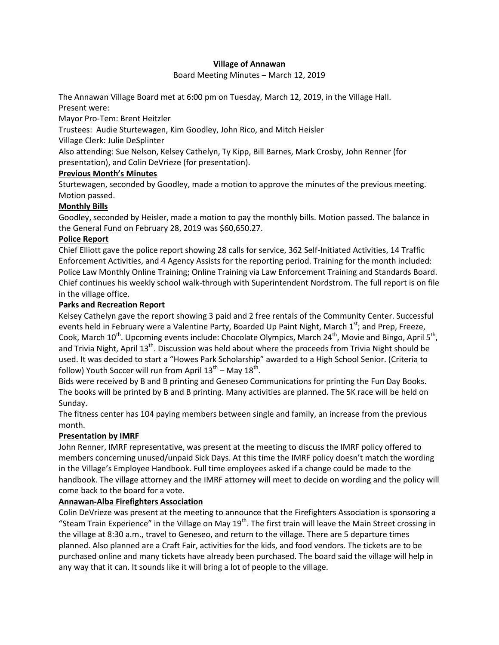## **Village of Annawan**

Board Meeting Minutes – March 12, 2019

The Annawan Village Board met at 6:00 pm on Tuesday, March 12, 2019, in the Village Hall. Present were:

Mayor Pro-Tem: Brent Heitzler

Trustees: Audie Sturtewagen, Kim Goodley, John Rico, and Mitch Heisler

Village Clerk: Julie DeSplinter

Also attending: Sue Nelson, Kelsey Cathelyn, Ty Kipp, Bill Barnes, Mark Crosby, John Renner (for presentation), and Colin DeVrieze (for presentation).

# **Previous Month's Minutes**

Sturtewagen, seconded by Goodley, made a motion to approve the minutes of the previous meeting. Motion passed.

# **Monthly Bills**

Goodley, seconded by Heisler, made a motion to pay the monthly bills. Motion passed. The balance in the General Fund on February 28, 2019 was \$60,650.27.

# **Police Report**

Chief Elliott gave the police report showing 28 calls for service, 362 Self-Initiated Activities, 14 Traffic Enforcement Activities, and 4 Agency Assists for the reporting period. Training for the month included: Police Law Monthly Online Training; Online Training via Law Enforcement Training and Standards Board. Chief continues his weekly school walk-through with Superintendent Nordstrom. The full report is on file in the village office.

# **Parks and Recreation Report**

Kelsey Cathelyn gave the report showing 3 paid and 2 free rentals of the Community Center. Successful events held in February were a Valentine Party, Boarded Up Paint Night, March 1<sup>st</sup>; and Prep, Freeze, Cook, March 10<sup>th</sup>. Upcoming events include: Chocolate Olympics, March 24<sup>th</sup>, Movie and Bingo, April 5<sup>th</sup>, and Trivia Night, April  $13<sup>th</sup>$ . Discussion was held about where the proceeds from Trivia Night should be used. It was decided to start a "Howes Park Scholarship" awarded to a High School Senior. (Criteria to follow) Youth Soccer will run from April  $13^{\text{th}}$  – May  $18^{\text{th}}$ .

Bids were received by B and B printing and Geneseo Communications for printing the Fun Day Books. The books will be printed by B and B printing. Many activities are planned. The 5K race will be held on Sunday.

The fitness center has 104 paying members between single and family, an increase from the previous month.

# **Presentation by IMRF**

John Renner, IMRF representative, was present at the meeting to discuss the IMRF policy offered to members concerning unused/unpaid Sick Days. At this time the IMRF policy doesn't match the wording in the Village's Employee Handbook. Full time employees asked if a change could be made to the handbook. The village attorney and the IMRF attorney will meet to decide on wording and the policy will come back to the board for a vote.

# **Annawan-Alba Firefighters Association**

Colin DeVrieze was present at the meeting to announce that the Firefighters Association is sponsoring a "Steam Train Experience" in the Village on May  $19<sup>th</sup>$ . The first train will leave the Main Street crossing in the village at 8:30 a.m., travel to Geneseo, and return to the village. There are 5 departure times planned. Also planned are a Craft Fair, activities for the kids, and food vendors. The tickets are to be purchased online and many tickets have already been purchased. The board said the village will help in any way that it can. It sounds like it will bring a lot of people to the village.